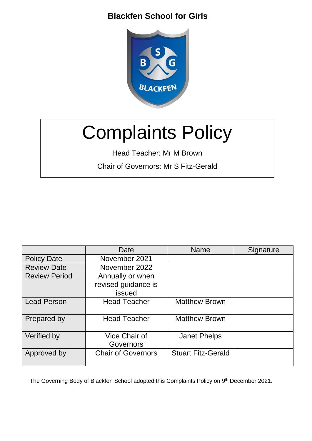

# Complaints Policy

Head Teacher: Mr M Brown

Chair of Governors: Mr S Fitz-Gerald

|                      | Date                                              | <b>Name</b>               | Signature |
|----------------------|---------------------------------------------------|---------------------------|-----------|
| <b>Policy Date</b>   | November 2021                                     |                           |           |
| <b>Review Date</b>   | November 2022                                     |                           |           |
| <b>Review Period</b> | Annually or when<br>revised guidance is<br>issued |                           |           |
| <b>Lead Person</b>   | <b>Head Teacher</b>                               | <b>Matthew Brown</b>      |           |
| Prepared by          | <b>Head Teacher</b>                               | <b>Matthew Brown</b>      |           |
| Verified by          | <b>Vice Chair of</b><br>Governors                 | <b>Janet Phelps</b>       |           |
| Approved by          | <b>Chair of Governors</b>                         | <b>Stuart Fitz-Gerald</b> |           |

The Governing Body of Blackfen School adopted this Complaints Policy on 9<sup>th</sup> December 2021.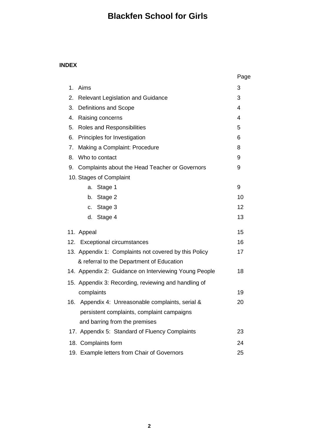### **INDEX**

|                                                       | Page |
|-------------------------------------------------------|------|
| Aims<br>1.                                            | 3    |
| <b>Relevant Legislation and Guidance</b><br>2.        | 3    |
| <b>Definitions and Scope</b><br>3.                    | 4    |
| Raising concerns<br>4.                                | 4    |
| 5.<br>Roles and Responsibilities                      | 5    |
| Principles for Investigation<br>6.                    | 6    |
| 7.<br>Making a Complaint: Procedure                   | 8    |
| Who to contact<br>8.                                  | 9    |
| Complaints about the Head Teacher or Governors<br>9.  | 9    |
| 10. Stages of Complaint                               |      |
| Stage 1<br>a.                                         | 9    |
| Stage 2<br>b.                                         | 10   |
| Stage 3<br>c.                                         | 12   |
| Stage 4<br>d.                                         | 13   |
| 11. Appeal                                            | 15   |
| 12. Exceptional circumstances                         | 16   |
| 13. Appendix 1: Complaints not covered by this Policy | 17   |
| & referral to the Department of Education             |      |
| 14. Appendix 2: Guidance on Interviewing Young People | 18   |
| 15. Appendix 3: Recording, reviewing and handling of  |      |
| complaints                                            | 19   |
| 16. Appendix 4: Unreasonable complaints, serial &     | 20   |
| persistent complaints, complaint campaigns            |      |
| and barring from the premises                         |      |
| 17. Appendix 5: Standard of Fluency Complaints        | 23   |
| 18. Complaints form                                   | 24   |
| 19. Example letters from Chair of Governors           | 25   |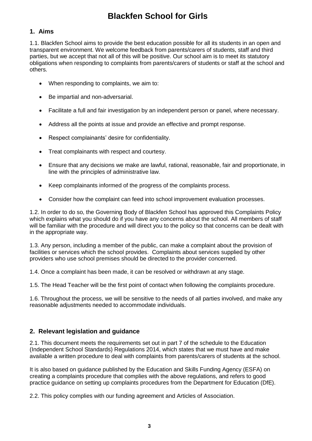#### **1. Aims**

1.1. Blackfen School aims to provide the best education possible for all its students in an open and transparent environment. We welcome feedback from parents/carers of students, staff and third parties, but we accept that not all of this will be positive. Our school aim is to meet its statutory obligations when responding to complaints from parents/carers of students or staff at the school and others.

- When responding to complaints, we aim to:
- Be impartial and non-adversarial.
- Facilitate a full and fair investigation by an independent person or panel, where necessary.
- Address all the points at issue and provide an effective and prompt response.
- Respect complainants' desire for confidentiality.
- Treat complainants with respect and courtesy.
- Ensure that any decisions we make are lawful, rational, reasonable, fair and proportionate, in line with the principles of administrative law.
- Keep complainants informed of the progress of the complaints process.
- Consider how the complaint can feed into school improvement evaluation processes.

1.2. In order to do so, the Governing Body of Blackfen School has approved this Complaints Policy which explains what you should do if you have any concerns about the school. All members of staff will be familiar with the procedure and will direct you to the policy so that concerns can be dealt with in the appropriate way.

1.3. Any person, including a member of the public, can make a complaint about the provision of facilities or services which the school provides. Complaints about services supplied by other providers who use school premises should be directed to the provider concerned.

1.4. Once a complaint has been made, it can be resolved or withdrawn at any stage.

1.5. The Head Teacher will be the first point of contact when following the complaints procedure.

1.6. Throughout the process, we will be sensitive to the needs of all parties involved, and make any reasonable adjustments needed to accommodate individuals.

#### **2. Relevant legislation and guidance**

2.1. This document meets the requirements set out in part 7 of the schedule to the Education (Independent School Standards) Regulations 2014, which states that we must have and make available a written procedure to deal with complaints from parents/carers of students at the school.

It is also based on guidance published by the Education and Skills Funding Agency (ESFA) on creating a complaints procedure that complies with the above regulations, and refers to good practice guidance on setting up complaints procedures from the Department for Education (DfE).

2.2. This policy complies with our funding agreement and Articles of Association.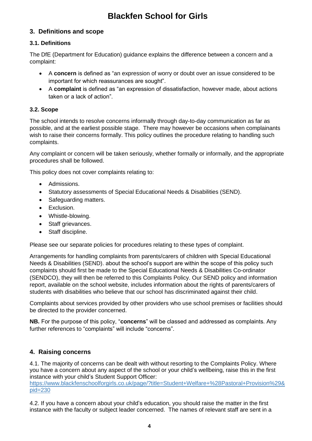### **3. Definitions and scope**

### **3.1. Definitions**

The DfE (Department for Education) guidance explains the difference between a concern and a complaint:

- A **concern** is defined as "an expression of worry or doubt over an issue considered to be important for which reassurances are sought".
- A **complaint** is defined as "an expression of dissatisfaction, however made, about actions taken or a lack of action".

#### **3.2. Scope**

The school intends to resolve concerns informally through day-to-day communication as far as possible, and at the earliest possible stage. There may however be occasions when complainants wish to raise their concerns formally. This policy outlines the procedure relating to handling such complaints.

Any complaint or concern will be taken seriously, whether formally or informally, and the appropriate procedures shall be followed.

This policy does not cover complaints relating to:

- Admissions.
- Statutory assessments of Special Educational Needs & Disabilities (SEND).
- Safeguarding matters.
- Exclusion.
- Whistle-blowing.
- Staff grievances.
- Staff discipline.

Please see our separate policies for procedures relating to these types of complaint.

Arrangements for handling complaints from parents/carers of children with Special Educational Needs & Disabilities (SEND). about the school's support are within the scope of this policy such complaints should first be made to the Special Educational Needs & Disabilities Co-ordinator (SENDCO), they will then be referred to this Complaints Policy. Our SEND policy and information report, available on the school website, includes information about the rights of parents/carers of students with disabilities who believe that our school has discriminated against their child.

Complaints about services provided by other providers who use school premises or facilities should be directed to the provider concerned.

**NB.** For the purpose of this policy, "**concerns**" will be classed and addressed as complaints. Any further references to "complaints" will include "concerns".

### **4. Raising concerns**

4.1. The majority of concerns can be dealt with without resorting to the Complaints Policy. Where you have a concern about any aspect of the school or your child's wellbeing, raise this in the first instance with your child's Student Support Officer: [https://www.blackfenschoolforgirls.co.uk/page/?title=Student+Welfare+%28Pastoral+Provision%29&](https://www.blackfenschoolforgirls.co.uk/page/?title=Student+Welfare+%28Pastoral+Provision%29&pid=230) [pid=230](https://www.blackfenschoolforgirls.co.uk/page/?title=Student+Welfare+%28Pastoral+Provision%29&pid=230)

4.2. If you have a concern about your child's education, you should raise the matter in the first instance with the faculty or subject leader concerned. The names of relevant staff are sent in a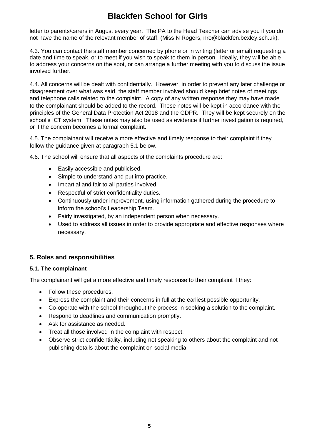letter to parents/carers in August every year. The PA to the Head Teacher can advise you if you do not have the name of the relevant member of staff. (Miss N Rogers, nro@blackfen.bexley.sch.uk).

4.3. You can contact the staff member concerned by phone or in writing (letter or email) requesting a date and time to speak, or to meet if you wish to speak to them in person. Ideally, they will be able to address your concerns on the spot, or can arrange a further meeting with you to discuss the issue involved further.

4.4. All concerns will be dealt with confidentially. However, in order to prevent any later challenge or disagreement over what was said, the staff member involved should keep brief notes of meetings and telephone calls related to the complaint. A copy of any written response they may have made to the complainant should be added to the record. These notes will be kept in accordance with the principles of the General Data Protection Act 2018 and the GDPR. They will be kept securely on the school's ICT system. These notes may also be used as evidence if further investigation is required, or if the concern becomes a formal complaint.

4.5. The complainant will receive a more effective and timely response to their complaint if they follow the guidance given at paragraph 5.1 below.

4.6. The school will ensure that all aspects of the complaints procedure are:

- Easily accessible and publicised.
- Simple to understand and put into practice.
- Impartial and fair to all parties involved.
- Respectful of strict confidentiality duties.
- Continuously under improvement, using information gathered during the procedure to inform the school's Leadership Team.
- Fairly investigated, by an independent person when necessary.
- Used to address all issues in order to provide appropriate and effective responses where necessary.

#### **5. Roles and responsibilities**

#### **5.1. The complainant**

The complainant will get a more effective and timely response to their complaint if they:

- Follow these procedures.
- Express the complaint and their concerns in full at the earliest possible opportunity.
- Co-operate with the school throughout the process in seeking a solution to the complaint.
- Respond to deadlines and communication promptly.
- Ask for assistance as needed.
- Treat all those involved in the complaint with respect.
- Observe strict confidentiality, including not speaking to others about the complaint and not publishing details about the complaint on social media.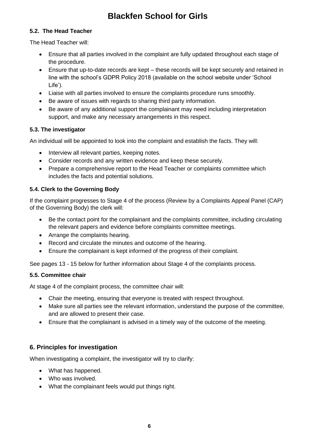### **5.2. The Head Teacher**

The Head Teacher will:

- Ensure that all parties involved in the complaint are fully updated throughout each stage of the procedure.
- Ensure that up-to-date records are kept these records will be kept securely and retained in line with the school's GDPR Policy 2018 (available on the school website under 'School Life').
- Liaise with all parties involved to ensure the complaints procedure runs smoothly.
- Be aware of issues with regards to sharing third party information.
- Be aware of any additional support the complainant may need including interpretation support, and make any necessary arrangements in this respect.

### **5.3. The investigator**

An individual will be appointed to look into the complaint and establish the facts. They will:

- Interview all relevant parties, keeping notes.
- Consider records and any written evidence and keep these securely.
- Prepare a comprehensive report to the Head Teacher or complaints committee which includes the facts and potential solutions.

### **5.4. Clerk to the Governing Body**

If the complaint progresses to Stage 4 of the process (Review by a Complaints Appeal Panel (CAP) of the Governing Body) the clerk will:

- Be the contact point for the complainant and the complaints committee, including circulating the relevant papers and evidence before complaints committee meetings.
- Arrange the complaints hearing.
- Record and circulate the minutes and outcome of the hearing.
- Ensure the complainant is kept informed of the progress of their complaint.

See pages 13 - 15 below for further information about Stage 4 of the complaints process.

#### **5.5. Committee chair**

At stage 4 of the complaint process, the committee chair will:

- Chair the meeting, ensuring that everyone is treated with respect throughout.
- Make sure all parties see the relevant information, understand the purpose of the committee, and are allowed to present their case.
- Ensure that the complainant is advised in a timely way of the outcome of the meeting.

### **6. Principles for investigation**

When investigating a complaint, the investigator will try to clarify:

- What has happened.
- Who was involved.
- What the complainant feels would put things right.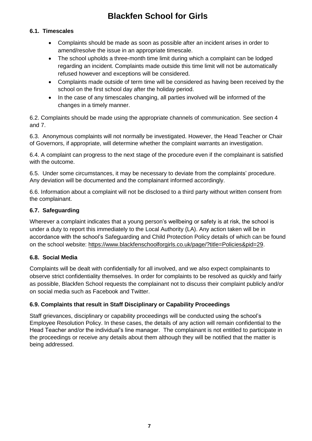#### **6.1. Timescales**

- Complaints should be made as soon as possible after an incident arises in order to amend/resolve the issue in an appropriate timescale.
- The school upholds a three-month time limit during which a complaint can be lodged regarding an incident. Complaints made outside this time limit will not be automatically refused however and exceptions will be considered.
- Complaints made outside of term time will be considered as having been received by the school on the first school day after the holiday period.
- In the case of any timescales changing, all parties involved will be informed of the changes in a timely manner.

6.2. Complaints should be made using the appropriate channels of communication. See section 4 and 7.

6.3. Anonymous complaints will not normally be investigated. However, the Head Teacher or Chair of Governors, if appropriate, will determine whether the complaint warrants an investigation.

6.4. A complaint can progress to the next stage of the procedure even if the complainant is satisfied with the outcome.

6.5. Under some circumstances, it may be necessary to deviate from the complaints' procedure. Any deviation will be documented and the complainant informed accordingly.

6.6. Information about a complaint will not be disclosed to a third party without written consent from the complainant.

#### **6.7. Safeguarding**

Wherever a complaint indicates that a young person's wellbeing or safety is at risk, the school is under a duty to report this immediately to the Local Authority (LA). Any action taken will be in accordance with the school's Safeguarding and Child Protection Policy details of which can be found on the school website: [https://www.blackfenschoolforgirls.co.uk/page/?title=Policies&pid=29.](https://www.blackfenschoolforgirls.co.uk/page/?title=Policies&pid=29)

#### **6.8. Social Media**

Complaints will be dealt with confidentially for all involved, and we also expect complainants to observe strict confidentiality themselves. In order for complaints to be resolved as quickly and fairly as possible, Blackfen School requests the complainant not to discuss their complaint publicly and/or on social media such as Facebook and Twitter.

#### **6.9. Complaints that result in Staff Disciplinary or Capability Proceedings**

Staff grievances, disciplinary or capability proceedings will be conducted using the school's Employee Resolution Policy. In these cases, the details of any action will remain confidential to the Head Teacher and/or the individual's line manager. The complainant is not entitled to participate in the proceedings or receive any details about them although they will be notified that the matter is being addressed.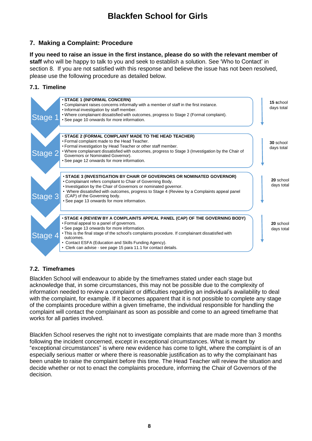### **7. Making a Complaint: Procedure**

**If you need to raise an issue in the first instance, please do so with the relevant member of staff** who will be happy to talk to you and seek to establish a solution. See 'Who to Contact' in section 8. If you are not satisfied with this response and believe the issue has not been resolved, please use the following procedure as detailed below.

### **7.1. Timeline**



### **7.2. Timeframes**

Blackfen School will endeavour to abide by the timeframes stated under each stage but acknowledge that, in some circumstances, this may not be possible due to the complexity of information needed to review a complaint or difficulties regarding an individual's availability to deal with the complaint, for example. If it becomes apparent that it is not possible to complete any stage of the complaints procedure within a given timeframe, the individual responsible for handling the complaint will contact the complainant as soon as possible and come to an agreed timeframe that works for all parties involved.

Blackfen School reserves the right not to investigate complaints that are made more than 3 months following the incident concerned, except in exceptional circumstances. What is meant by "exceptional circumstances" is where new evidence has come to light, where the complaint is of an especially serious matter or where there is reasonable justification as to why the complainant has been unable to raise the complaint before this time. The Head Teacher will review the situation and decide whether or not to enact the complaints procedure, informing the Chair of Governors of the decision.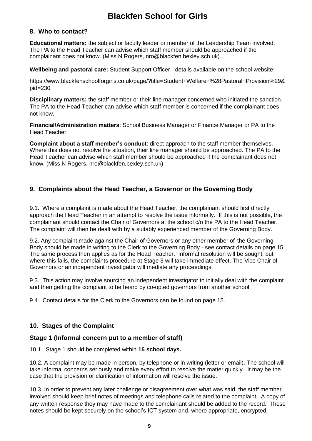#### **8. Who to contact?**

**Educational matters:** the subject or faculty leader or member of the Leadership Team involved. The PA to the Head Teacher can advise which staff member should be approached if the complainant does not know. (Miss N Rogers, nro@blackfen.bexley.sch.uk).

**Wellbeing and pastoral care:** Student Support Officer - details available on the school website:

[https://www.blackfenschoolforgirls.co.uk/page/?title=Student+Welfare+%28Pastoral+Provision%29&](https://www.blackfenschoolforgirls.co.uk/page/?title=Student+Welfare+%28Pastoral+Provision%29&pid=230) [pid=230](https://www.blackfenschoolforgirls.co.uk/page/?title=Student+Welfare+%28Pastoral+Provision%29&pid=230)

**Disciplinary matters:** the staff member or their line manager concerned who initiated the sanction. The PA to the Head Teacher can advise which staff member is concerned if the complainant does not know.

**Financial/Administration matters**: School Business Manager or Finance Manager or PA to the Head Teacher.

**Complaint about a staff member's conduct**: direct approach to the staff member themselves. Where this does not resolve the situation, their line manager should be approached. The PA to the Head Teacher can advise which staff member should be approached if the complainant does not know. (Miss N Rogers, nro@blackfen.bexley.sch.uk).

### **9. Complaints about the Head Teacher, a Governor or the Governing Body**

9.1. Where a complaint is made about the Head Teacher, the complainant should first directly approach the Head Teacher in an attempt to resolve the issue informally. If this is not possible, the complainant should contact the Chair of Governors at the school c/o the PA to the Head Teacher. The complaint will then be dealt with by a suitably experienced member of the Governing Body.

9.2. Any complaint made against the Chair of Governors or any other member of the Governing Body should be made in writing to the Clerk to the Governing Body - see contact details on page 15. The same process then applies as for the Head Teacher. Informal resolution will be sought, but where this fails, the complaints procedure at Stage 3 will take immediate effect. The Vice Chair of Governors or an independent investigator will mediate any proceedings.

9.3. This action may involve sourcing an independent investigator to initially deal with the complaint and then getting the complaint to be heard by co-opted governors from another school.

9.4. Contact details for the Clerk to the Governors can be found on page 15.

### **10. Stages of the Complaint**

#### **Stage 1 (Informal concern put to a member of staff)**

10.1. Stage 1 should be completed within **15 school days.**

10.2. A complaint may be made in person, by telephone or in writing (letter or email). The school will take informal concerns seriously and make every effort to resolve the matter quickly. It may be the case that the provision or clarification of information will resolve the issue.

10.3. In order to prevent any later challenge or disagreement over what was said, the staff member involved should keep brief notes of meetings and telephone calls related to the complaint. A copy of any written response they may have made to the complainant should be added to the record. These notes should be kept securely on the school's ICT system and, where appropriate, encrypted.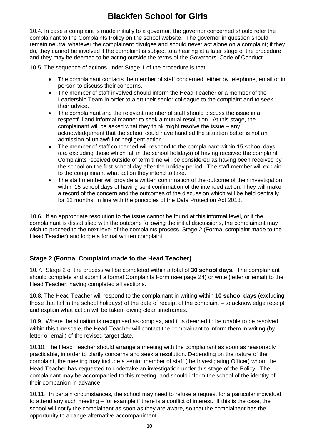10.4. In case a complaint is made initially to a governor, the governor concerned should refer the complainant to the Complaints Policy on the school website. The governor in question should remain neutral whatever the complainant divulges and should never act alone on a complaint; if they do, they cannot be involved if the complaint is subject to a hearing at a later stage of the procedure, and they may be deemed to be acting outside the terms of the Governors' Code of Conduct.

10.5. The sequence of actions under Stage 1 of the procedure is that:

- The complainant contacts the member of staff concerned, either by telephone, email or in person to discuss their concerns.
- The member of staff involved should inform the Head Teacher or a member of the Leadership Team in order to alert their senior colleague to the complaint and to seek their advice.
- The complainant and the relevant member of staff should discuss the issue in a respectful and informal manner to seek a mutual resolution. At this stage, the complainant will be asked what they think might resolve the issue – any acknowledgement that the school could have handled the situation better is not an admission of unlawful or negligent action.
- The member of staff concerned will respond to the complainant within 15 school days (i.e. excluding those which fall in the school holidays) of having received the complaint. Complaints received outside of term time will be considered as having been received by the school on the first school day after the holiday period. The staff member will explain to the complainant what action they intend to take.
- The staff member will provide a written confirmation of the outcome of their investigation within 15 school days of having sent confirmation of the intended action. They will make a record of the concern and the outcomes of the discussion which will be held centrally for 12 months, in line with the principles of the Data Protection Act 2018.

10.6. If an appropriate resolution to the issue cannot be found at this informal level, or if the complainant is dissatisfied with the outcome following the initial discussions, the complainant may wish to proceed to the next level of the complaints process, Stage 2 (Formal complaint made to the Head Teacher) and lodge a formal written complaint.

### **Stage 2 (Formal Complaint made to the Head Teacher)**

10.7. Stage 2 of the process will be completed within a total of **30 school days.** The complainant should complete and submit a formal Complaints Form (see page 24) or write (letter or email) to the Head Teacher, having completed all sections.

10.8. The Head Teacher will respond to the complainant in writing within **10 school days** (excluding those that fall in the school holidays) of the date of receipt of the complaint – to acknowledge receipt and explain what action will be taken, giving clear timeframes.

10.9. Where the situation is recognised as complex, and it is deemed to be unable to be resolved within this timescale, the Head Teacher will contact the complainant to inform them in writing (by letter or email) of the revised target date.

10.10. The Head Teacher should arrange a meeting with the complainant as soon as reasonably practicable, in order to clarify concerns and seek a resolution. Depending on the nature of the complaint, the meeting may include a senior member of staff (the Investigating Officer) whom the Head Teacher has requested to undertake an investigation under this stage of the Policy. The complainant may be accompanied to this meeting, and should inform the school of the identity of their companion in advance.

10.11. In certain circumstances, the school may need to refuse a request for a particular individual to attend any such meeting – for example if there is a conflict of interest. If this is the case, the school will notify the complainant as soon as they are aware, so that the complainant has the opportunity to arrange alternative accompaniment.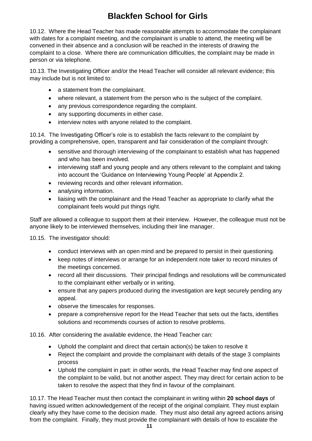10.12. Where the Head Teacher has made reasonable attempts to accommodate the complainant with dates for a complaint meeting, and the complainant is unable to attend, the meeting will be convened in their absence and a conclusion will be reached in the interests of drawing the complaint to a close. Where there are communication difficulties, the complaint may be made in person or via telephone.

10.13. The Investigating Officer and/or the Head Teacher will consider all relevant evidence; this may include but is not limited to:

- a statement from the complainant.
- where relevant, a statement from the person who is the subject of the complaint.
- any previous correspondence regarding the complaint.
- any supporting documents in either case.
- interview notes with anyone related to the complaint.

10.14. The Investigating Officer's role is to establish the facts relevant to the complaint by providing a comprehensive, open, transparent and fair consideration of the complaint through:

- sensitive and thorough interviewing of the complainant to establish what has happened and who has been involved.
- interviewing staff and young people and any others relevant to the complaint and taking into account the 'Guidance on Interviewing Young People' at Appendix 2.
- reviewing records and other relevant information.
- analysing information.
- liaising with the complainant and the Head Teacher as appropriate to clarify what the complainant feels would put things right.

Staff are allowed a colleague to support them at their interview. However, the colleague must not be anyone likely to be interviewed themselves, including their line manager.

10.15. The investigator should:

- conduct interviews with an open mind and be prepared to persist in their questioning.
- keep notes of interviews or arrange for an independent note taker to record minutes of the meetings concerned.
- record all their discussions. Their principal findings and resolutions will be communicated to the complainant either verbally or in writing.
- ensure that any papers produced during the investigation are kept securely pending any appeal.
- observe the timescales for responses.
- prepare a comprehensive report for the Head Teacher that sets out the facts, identifies solutions and recommends courses of action to resolve problems.

10.16. After considering the available evidence, the Head Teacher can:

- Uphold the complaint and direct that certain action(s) be taken to resolve it
- Reject the complaint and provide the complainant with details of the stage 3 complaints process
- Uphold the complaint in part: in other words, the Head Teacher may find one aspect of the complaint to be valid, but not another aspect. They may direct for certain action to be taken to resolve the aspect that they find in favour of the complainant.

10.17. The Head Teacher must then contact the complainant in writing within **20 school days** of having issued written acknowledgement of the receipt of the original complaint. They must explain clearly why they have come to the decision made. They must also detail any agreed actions arising from the complaint. Finally, they must provide the complainant with details of how to escalate the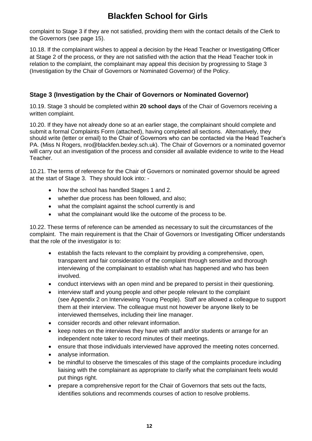complaint to Stage 3 if they are not satisfied, providing them with the contact details of the Clerk to the Governors (see page 15).

10.18. If the complainant wishes to appeal a decision by the Head Teacher or Investigating Officer at Stage 2 of the process, or they are not satisfied with the action that the Head Teacher took in relation to the complaint, the complainant may appeal this decision by progressing to Stage 3 (Investigation by the Chair of Governors or Nominated Governor) of the Policy.

### **Stage 3 (Investigation by the Chair of Governors or Nominated Governor)**

10.19. Stage 3 should be completed within **20 school days** of the Chair of Governors receiving a written complaint.

10.20. If they have not already done so at an earlier stage, the complainant should complete and submit a formal Complaints Form (attached), having completed all sections. Alternatively, they should write (letter or email) to the Chair of Governors who can be contacted via the Head Teacher's PA. (Miss N Rogers, nro@blackfen.bexley.sch.uk). The Chair of Governors or a nominated governor will carry out an investigation of the process and consider all available evidence to write to the Head Teacher.

10.21. The terms of reference for the Chair of Governors or nominated governor should be agreed at the start of Stage 3. They should look into: -

- how the school has handled Stages 1 and 2.
- whether due process has been followed, and also;
- what the complaint against the school currently is and
- what the complainant would like the outcome of the process to be.

10.22. These terms of reference can be amended as necessary to suit the circumstances of the complaint. The main requirement is that the Chair of Governors or Investigating Officer understands that the role of the investigator is to:

- establish the facts relevant to the complaint by providing a comprehensive, open, transparent and fair consideration of the complaint through sensitive and thorough interviewing of the complainant to establish what has happened and who has been involved.
- conduct interviews with an open mind and be prepared to persist in their questioning.
- interview staff and young people and other people relevant to the complaint (see Appendix 2 on Interviewing Young People). Staff are allowed a colleague to support them at their interview. The colleague must not however be anyone likely to be interviewed themselves, including their line manager.
- consider records and other relevant information.
- keep notes on the interviews they have with staff and/or students or arrange for an independent note taker to record minutes of their meetings.
- ensure that those individuals interviewed have approved the meeting notes concerned.
- analyse information.
- be mindful to observe the timescales of this stage of the complaints procedure including liaising with the complainant as appropriate to clarify what the complainant feels would put things right.
- prepare a comprehensive report for the Chair of Governors that sets out the facts, identifies solutions and recommends courses of action to resolve problems.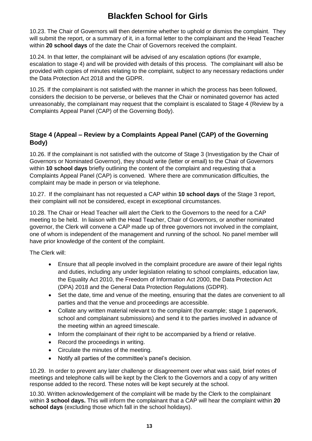10.23. The Chair of Governors will then determine whether to uphold or dismiss the complaint. They will submit the report, or a summary of it, in a formal letter to the complainant and the Head Teacher within **20 school days** of the date the Chair of Governors received the complaint.

10.24. In that letter, the complainant will be advised of any escalation options (for example, escalation to stage 4) and will be provided with details of this process. The complainant will also be provided with copies of minutes relating to the complaint, subject to any necessary redactions under the Data Protection Act 2018 and the GDPR.

10.25. If the complainant is not satisfied with the manner in which the process has been followed, considers the decision to be perverse, or believes that the Chair or nominated governor has acted unreasonably, the complainant may request that the complaint is escalated to Stage 4 (Review by a Complaints Appeal Panel (CAP) of the Governing Body).

### **Stage 4 (Appeal – Review by a Complaints Appeal Panel (CAP) of the Governing Body)**

10.26. If the complainant is not satisfied with the outcome of Stage 3 (Investigation by the Chair of Governors or Nominated Governor), they should write (letter or email) to the Chair of Governors within **10 school days** briefly outlining the content of the complaint and requesting that a Complaints Appeal Panel (CAP) is convened. Where there are communication difficulties, the complaint may be made in person or via telephone.

10.27. If the complainant has not requested a CAP within **10 school days** of the Stage 3 report, their complaint will not be considered, except in exceptional circumstances.

10.28. The Chair or Head Teacher will alert the Clerk to the Governors to the need for a CAP meeting to be held. In liaison with the Head Teacher, Chair of Governors, or another nominated governor, the Clerk will convene a CAP made up of three governors not involved in the complaint, one of whom is independent of the management and running of the school. No panel member will have prior knowledge of the content of the complaint.

The Clerk will:

- Ensure that all people involved in the complaint procedure are aware of their legal rights and duties, including any under legislation relating to school complaints, education law, the Equality Act 2010, the Freedom of Information Act 2000, the Data Protection Act (DPA) 2018 and the General Data Protection Regulations (GDPR).
- Set the date, time and venue of the meeting, ensuring that the dates are convenient to all parties and that the venue and proceedings are accessible.
- Collate any written material relevant to the complaint (for example; stage 1 paperwork, school and complainant submissions) and send it to the parties involved in advance of the meeting within an agreed timescale.
- Inform the complainant of their right to be accompanied by a friend or relative.
- Record the proceedings in writing.
- Circulate the minutes of the meeting.
- Notify all parties of the committee's panel's decision.

10.29. In order to prevent any later challenge or disagreement over what was said, brief notes of meetings and telephone calls will be kept by the Clerk to the Governors and a copy of any written response added to the record. These notes will be kept securely at the school.

10.30. Written acknowledgement of the complaint will be made by the Clerk to the complainant within **3 school days.** This will inform the complainant that a CAP will hear the complaint within **20 school days** (excluding those which fall in the school holidays).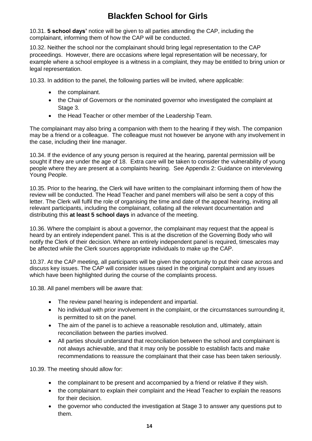10.31. **5 school days'** notice will be given to all parties attending the CAP, including the complainant, informing them of how the CAP will be conducted.

10.32. Neither the school nor the complainant should bring legal representation to the CAP proceedings. However, there are occasions where legal representation will be necessary, for example where a school employee is a witness in a complaint, they may be entitled to bring union or legal representation.

10.33. In addition to the panel, the following parties will be invited, where applicable:

- the complainant.
- the Chair of Governors or the nominated governor who investigated the complaint at Stage 3.
- the Head Teacher or other member of the Leadership Team.

The complainant may also bring a companion with them to the hearing if they wish. The companion may be a friend or a colleague. The colleague must not however be anyone with any involvement in the case, including their line manager.

10.34. If the evidence of any young person is required at the hearing, parental permission will be sought if they are under the age of 18. Extra care will be taken to consider the vulnerability of young people where they are present at a complaints hearing. See Appendix 2: Guidance on interviewing Young People.

10.35. Prior to the hearing, the Clerk will have written to the complainant informing them of how the review will be conducted. The Head Teacher and panel members will also be sent a copy of this letter. The Clerk will fulfil the role of organising the time and date of the appeal hearing, inviting all relevant participants, including the complainant, collating all the relevant documentation and distributing this **at least 5 school days** in advance of the meeting.

10.36. Where the complaint is about a governor, the complainant may request that the appeal is heard by an entirely independent panel. This is at the discretion of the Governing Body who will notify the Clerk of their decision. Where an entirely independent panel is required, timescales may be affected while the Clerk sources appropriate individuals to make up the CAP.

10.37. At the CAP meeting, all participants will be given the opportunity to put their case across and discuss key issues. The CAP will consider issues raised in the original complaint and any issues which have been highlighted during the course of the complaints process.

10.38. All panel members will be aware that:

- The review panel hearing is independent and impartial.
- No individual with prior involvement in the complaint, or the circumstances surrounding it, is permitted to sit on the panel.
- The aim of the panel is to achieve a reasonable resolution and, ultimately, attain reconciliation between the parties involved.
- All parties should understand that reconciliation between the school and complainant is not always achievable, and that it may only be possible to establish facts and make recommendations to reassure the complainant that their case has been taken seriously.

10.39. The meeting should allow for:

- the complainant to be present and accompanied by a friend or relative if they wish.
- the complainant to explain their complaint and the Head Teacher to explain the reasons for their decision.
- the governor who conducted the investigation at Stage 3 to answer any questions put to them.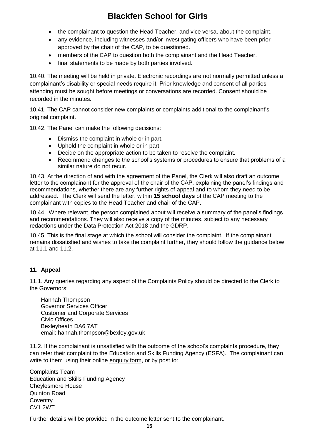- the complainant to question the Head Teacher, and vice versa, about the complaint.
- any evidence, including witnesses and/or investigating officers who have been prior approved by the chair of the CAP, to be questioned.
- members of the CAP to question both the complainant and the Head Teacher.
- final statements to be made by both parties involved.

10.40. The meeting will be held in private. Electronic recordings are not normally permitted unless a complainant's disability or special needs require it. Prior knowledge and consent of all parties attending must be sought before meetings or conversations are recorded. Consent should be recorded in the minutes.

10.41. The CAP cannot consider new complaints or complaints additional to the complainant's original complaint.

10.42. The Panel can make the following decisions:

- Dismiss the complaint in whole or in part.
- Uphold the complaint in whole or in part.
- Decide on the appropriate action to be taken to resolve the complaint.
- Recommend changes to the school's systems or procedures to ensure that problems of a similar nature do not recur.

10.43. At the direction of and with the agreement of the Panel, the Clerk will also draft an outcome letter to the complainant for the approval of the chair of the CAP, explaining the panel's findings and recommendations, whether there are any further rights of appeal and to whom they need to be addressed. The Clerk will send the letter, within **15 school days** of the CAP meeting to the complainant with copies to the Head Teacher and chair of the CAP.

10.44. Where relevant, the person complained about will receive a summary of the panel's findings and recommendations. They will also receive a copy of the minutes, subject to any necessary redactions under the Data Protection Act 2018 and the GDRP.

10.45. This is the final stage at which the school will consider the complaint. If the complainant remains dissatisfied and wishes to take the complaint further, they should follow the guidance below at 11.1 and 11.2.

#### **11. Appeal**

11.1. Any queries regarding any aspect of the Complaints Policy should be directed to the Clerk to the Governors:

Hannah Thompson Governor Services Officer Customer and Corporate Services Civic Offices Bexleyheath DA6 7AT email: hannah.thompso[n@bexley.gov.uk](mailto:liane.dell@bexley.gov.uk)

11.2. If the complainant is unsatisfied with the outcome of the school's complaints procedure, they can refer their complaint to the Education and Skills Funding Agency (ESFA). The complainant can write to them using their online [enquiry form,](https://form.education.gov.uk/service/Contact_the_Department_for_Education) or by post to:

Complaints Team Education and Skills Funding Agency Cheylesmore House Quinton Road **Coventry** CV1 2WT

Further details will be provided in the outcome letter sent to the complainant.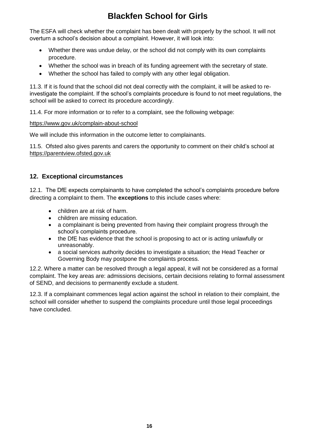The ESFA will check whether the complaint has been dealt with properly by the school. It will not overturn a school's decision about a complaint. However, it will look into:

- Whether there was undue delay, or the school did not comply with its own complaints procedure.
- Whether the school was in breach of its funding agreement with the secretary of state.
- Whether the school has failed to comply with any other legal obligation.

11.3. If it is found that the school did not deal correctly with the complaint, it will be asked to reinvestigate the complaint. If the school's complaints procedure is found to not meet regulations, the school will be asked to correct its procedure accordingly.

11.4. For more information or to refer to a complaint, see the following webpage:

#### <https://www.gov.uk/complain-about-school>

We will include this information in the outcome letter to complainants.

11.5. Ofsted also gives parents and carers the opportunity to comment on their child's school at [https://parentview.ofsted.gov.uk](https://parentview.ofsted.gov.uk/)

#### **12. Exceptional circumstances**

12.1. The DfE expects complainants to have completed the school's complaints procedure before directing a complaint to them. The **exceptions** to this include cases where:

- children are at risk of harm.
- children are missing education.
- a complainant is being prevented from having their complaint progress through the school's complaints procedure.
- the DfE has evidence that the school is proposing to act or is acting unlawfully or unreasonably.
- a social services authority decides to investigate a situation; the Head Teacher or Governing Body may postpone the complaints process.

12.2. Where a matter can be resolved through a legal appeal, it will not be considered as a formal complaint. The key areas are: admissions decisions, certain decisions relating to formal assessment of SEND, and decisions to permanently exclude a student.

12.3. If a complainant commences legal action against the school in relation to their complaint, the school will consider whether to suspend the complaints procedure until those legal proceedings have concluded.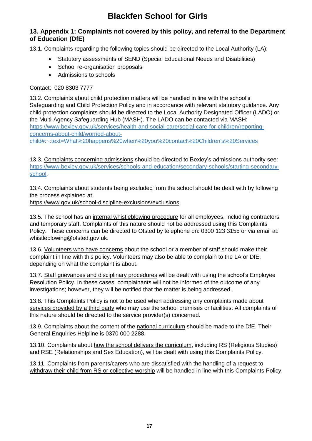### **13. Appendix 1: Complaints not covered by this policy, and referral to the Department of Education (DfE)**

13.1. Complaints regarding the following topics should be directed to the Local Authority (LA):

- Statutory assessments of SEND (Special Educational Needs and Disabilities)
- School re-organisation proposals
- Admissions to schools

#### Contact: 020 8303 7777

13.2. Complaints about child protection matters will be handled in line with the school's Safeguarding and Child Protection Policy and in accordance with relevant statutory guidance. Any child protection complaints should be directed to the Local Authority Designated Officer (LADO) or the Multi-Agency Safeguarding Hub (MASH). The LADO can be contacted via MASH: [https://www.bexley.gov.uk/services/health-and-social-care/social-care-for-children/reporting](https://www.bexley.gov.uk/services/health-and-social-care/social-care-for-children/reporting-concerns-about-child/worried-about-child#:~:text=What%20happens%20when%20you%20contact%20Children)[concerns-about-child/worried-about-](https://www.bexley.gov.uk/services/health-and-social-care/social-care-for-children/reporting-concerns-about-child/worried-about-child#:~:text=What%20happens%20when%20you%20contact%20Children)

[child#:~:text=What%20happens%20when%20you%20contact%20Children's%20Services](https://www.bexley.gov.uk/services/health-and-social-care/social-care-for-children/reporting-concerns-about-child/worried-about-child#:~:text=What%20happens%20when%20you%20contact%20Children)

13.3. Complaints concerning admissions should be directed to Bexley's admissions authority see: [https://www.bexley.gov.uk/services/schools-and-education/secondary-schools/starting-secondary](https://www.bexley.gov.uk/services/schools-and-education/secondary-schools/starting-secondary-school)[school.](https://www.bexley.gov.uk/services/schools-and-education/secondary-schools/starting-secondary-school)

13.4. Complaints about students being excluded from the school should be dealt with by following the process explained at:

[https://www.gov.uk/school-discipline-exclusions/exclusions.](https://www.gov.uk/school-discipline-exclusions/exclusions)

13.5. The school has an internal whistleblowing procedure for all employees, including contractors and temporary staff. Complaints of this nature should not be addressed using this Complaints Policy. These concerns can be directed to Ofsted by telephone on: 0300 123 3155 or via email at: [whistleblowing@ofsted.gov.uk.](mailto:whistleblowing@ofsted.gov.uk)

13.6. Volunteers who have concerns about the school or a member of staff should make their complaint in line with this policy. Volunteers may also be able to complain to the LA or DfE, depending on what the complaint is about.

13.7. Staff grievances and disciplinary procedures will be dealt with using the school's Employee Resolution Policy. In these cases, complainants will not be informed of the outcome of any investigations; however, they will be notified that the matter is being addressed.

13.8. This Complaints Policy is not to be used when addressing any complaints made about services provided by a third party who may use the school premises or facilities. All complaints of this nature should be directed to the service provider(s) concerned.

13.9. Complaints about the content of the national curriculum should be made to the DfE. Their General Enquiries Helpline is 0370 000 2288.

13.10. Complaints about how the school delivers the curriculum, including RS (Religious Studies) and RSE (Relationships and Sex Education), will be dealt with using this Complaints Policy.

13.11. Complaints from parents/carers who are dissatisfied with the handling of a request to withdraw their child from RS or collective worship will be handled in line with this Complaints Policy.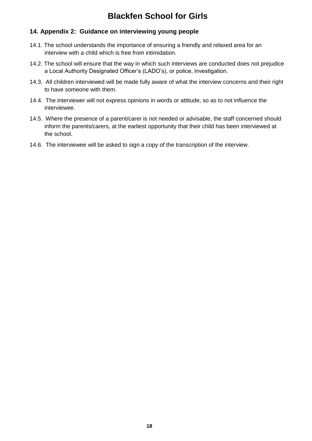### **14. Appendix 2: Guidance on interviewing young people**

- 14.1. The school understands the importance of ensuring a friendly and relaxed area for an interview with a child which is free from intimidation.
- 14.2. The school will ensure that the way in which such interviews are conducted does not prejudice a Local Authority Designated Officer's (LADO's), or police, investigation.
- 14.3. All children interviewed will be made fully aware of what the interview concerns and their right to have someone with them.
- 14.4. The interviewer will not express opinions in words or attitude, so as to not influence the interviewee.
- 14.5. Where the presence of a parent/carer is not needed or advisable, the staff concerned should inform the parents/carers, at the earliest opportunity that their child has been interviewed at the school.
- 14.6. The interviewee will be asked to sign a copy of the transcription of the interview.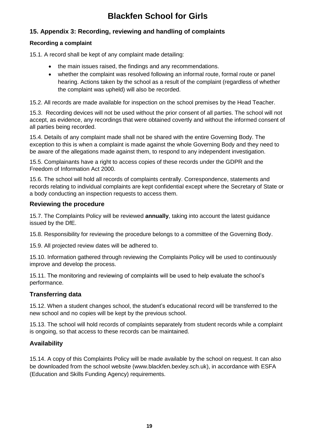### **15. Appendix 3: Recording, reviewing and handling of complaints**

### **Recording a complaint**

15.1. A record shall be kept of any complaint made detailing:

- the main issues raised, the findings and any recommendations.
- whether the complaint was resolved following an informal route, formal route or panel hearing. Actions taken by the school as a result of the complaint (regardless of whether the complaint was upheld) will also be recorded.

15.2. All records are made available for inspection on the school premises by the Head Teacher.

15.3. Recording devices will not be used without the prior consent of all parties. The school will not accept, as evidence, any recordings that were obtained covertly and without the informed consent of all parties being recorded.

15.4. Details of any complaint made shall not be shared with the entire Governing Body. The exception to this is when a complaint is made against the whole Governing Body and they need to be aware of the allegations made against them, to respond to any independent investigation.

15.5. Complainants have a right to access copies of these records under the GDPR and the Freedom of Information Act 2000.

15.6. The school will hold all records of complaints centrally. Correspondence, statements and records relating to individual complaints are kept confidential except where the Secretary of State or a body conducting an inspection requests to access them.

### **Reviewing the procedure**

15.7. The Complaints Policy will be reviewed **annually**, taking into account the latest guidance issued by the DfE.

15.8. Responsibility for reviewing the procedure belongs to a committee of the Governing Body.

15.9. All projected review dates will be adhered to.

15.10. Information gathered through reviewing the Complaints Policy will be used to continuously improve and develop the process.

15.11. The monitoring and reviewing of complaints will be used to help evaluate the school's performance.

#### **Transferring data**

15.12. When a student changes school, the student's educational record will be transferred to the new school and no copies will be kept by the previous school.

15.13. The school will hold records of complaints separately from student records while a complaint is ongoing, so that access to these records can be maintained.

### **Availability**

15.14. A copy of this Complaints Policy will be made available by the school on request. It can also be downloaded from the school website (www.blackfen.bexley.sch.uk), in accordance with ESFA (Education and Skills Funding Agency) requirements.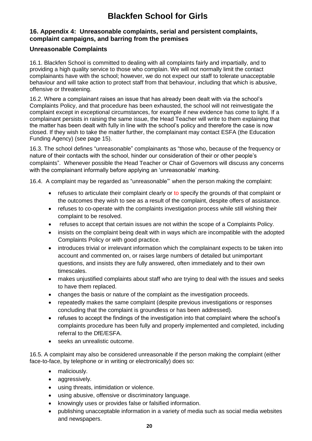#### **16. Appendix 4: Unreasonable complaints, serial and persistent complaints, complaint campaigns, and barring from the premises**

### **Unreasonable Complaints**

16.1. Blackfen School is committed to dealing with all complaints fairly and impartially, and to providing a high quality service to those who complain. We will not normally limit the contact complainants have with the school; however, we do not expect our staff to tolerate unacceptable behaviour and will take action to protect staff from that behaviour, including that which is abusive, offensive or threatening.

16.2. Where a complainant raises an issue that has already been dealt with via the school's Complaints Policy, and that procedure has been exhausted, the school will not reinvestigate the complaint except in exceptional circumstances, for example if new evidence has come to light. If a complainant persists in raising the same issue, the Head Teacher will write to them explaining that the matter has been dealt with fully in line with the school's policy and therefore the case is now closed. If they wish to take the matter further, the complainant may contact ESFA (the Education Funding Agency) (see page 15).

16.3. The school defines "unreasonable" complainants as "those who, because of the frequency or nature of their contacts with the school, hinder our consideration of their or other people's complaints". Whenever possible the Head Teacher or Chair of Governors will discuss any concerns with the complainant informally before applying an 'unreasonable' marking.

16.4. A complaint may be regarded as "unreasonable"' when the person making the complaint:

- refuses to articulate their complaint clearly or to specify the grounds of that complaint or the outcomes they wish to see as a result of the complaint, despite offers of assistance.
- refuses to co-operate with the complaints investigation process while still wishing their complaint to be resolved.
- refuses to accept that certain issues are not within the scope of a Complaints Policy.
- insists on the complaint being dealt with in ways which are incompatible with the adopted Complaints Policy or with good practice.
- introduces trivial or irrelevant information which the complainant expects to be taken into account and commented on, or raises large numbers of detailed but unimportant questions, and insists they are fully answered, often immediately and to their own timescales.
- makes unjustified complaints about staff who are trying to deal with the issues and seeks to have them replaced.
- changes the basis or nature of the complaint as the investigation proceeds.
- repeatedly makes the same complaint (despite previous investigations or responses concluding that the complaint is groundless or has been addressed).
- refuses to accept the findings of the investigation into that complaint where the school's complaints procedure has been fully and properly implemented and completed, including referral to the DfE/ESFA.
- seeks an unrealistic outcome.

16.5. A complaint may also be considered unreasonable if the person making the complaint (either face-to-face, by telephone or in writing or electronically) does so:

- maliciously.
- aggressively.
- using threats, intimidation or violence.
- using abusive, offensive or discriminatory language.
- knowingly uses or provides false or falsified information.
- publishing unacceptable information in a variety of media such as social media websites and newspapers.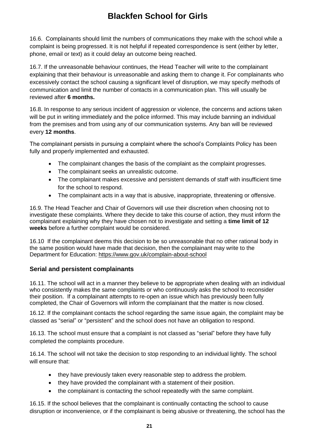16.6. Complainants should limit the numbers of communications they make with the school while a complaint is being progressed. It is not helpful if repeated correspondence is sent (either by letter, phone, email or text) as it could delay an outcome being reached.

16.7. If the unreasonable behaviour continues, the Head Teacher will write to the complainant explaining that their behaviour is unreasonable and asking them to change it. For complainants who excessively contact the school causing a significant level of disruption, we may specify methods of communication and limit the number of contacts in a communication plan. This will usually be reviewed after **6 months.**

16.8. In response to any serious incident of aggression or violence, the concerns and actions taken will be put in writing immediately and the police informed. This may include banning an individual from the premises and from using any of our communication systems. Any ban will be reviewed every **12 months**.

The complainant persists in pursuing a complaint where the school's Complaints Policy has been fully and properly implemented and exhausted.

- The complainant changes the basis of the complaint as the complaint progresses.
- The complainant seeks an unrealistic outcome.
- The complainant makes excessive and persistent demands of staff with insufficient time for the school to respond.
- The complainant acts in a way that is abusive, inappropriate, threatening or offensive.

16.9. The Head Teacher and Chair of Governors will use their discretion when choosing not to investigate these complaints. Where they decide to take this course of action, they must inform the complainant explaining why they have chosen not to investigate and setting a **time limit of 12 weeks** before a further complaint would be considered.

16.10 If the complainant deems this decision to be so unreasonable that no other rational body in the same position would have made that decision, then the complainant may write to the Department for Education:<https://www.gov.uk/complain-about-school>

### **Serial and persistent complainants**

16.11. The school will act in a manner they believe to be appropriate when dealing with an individual who consistently makes the same complaints or who continuously asks the school to reconsider their position. If a complainant attempts to re-open an issue which has previously been fully completed, the Chair of Governors will inform the complainant that the matter is now closed.

16.12. If the complainant contacts the school regarding the same issue again, the complaint may be classed as "serial" or "persistent" and the school does not have an obligation to respond.

16.13. The school must ensure that a complaint is not classed as "serial" before they have fully completed the complaints procedure.

16.14. The school will not take the decision to stop responding to an individual lightly. The school will ensure that:

- they have previously taken every reasonable step to address the problem.
- they have provided the complainant with a statement of their position.
- the complainant is contacting the school repeatedly with the same complaint.

16.15. If the school believes that the complainant is continually contacting the school to cause disruption or inconvenience, or if the complainant is being abusive or threatening, the school has the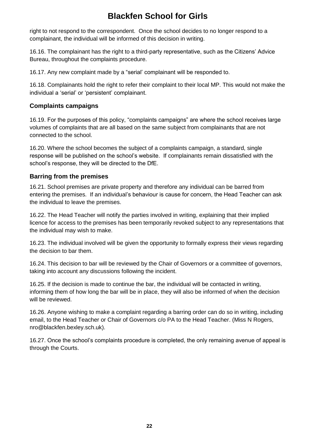right to not respond to the correspondent. Once the school decides to no longer respond to a complainant, the individual will be informed of this decision in writing.

16.16. The complainant has the right to a third-party representative, such as the Citizens' Advice Bureau, throughout the complaints procedure.

16.17. Any new complaint made by a "serial' complainant will be responded to.

16.18. Complainants hold the right to refer their complaint to their local MP. This would not make the individual a 'serial' or 'persistent' complainant.

#### **Complaints campaigns**

16.19. For the purposes of this policy, "complaints campaigns" are where the school receives large volumes of complaints that are all based on the same subject from complainants that are not connected to the school.

16.20. Where the school becomes the subject of a complaints campaign, a standard, single response will be published on the school's website. If complainants remain dissatisfied with the school's response, they will be directed to the DfE.

#### **Barring from the premises**

16.21. School premises are private property and therefore any individual can be barred from entering the premises. If an individual's behaviour is cause for concern, the Head Teacher can ask the individual to leave the premises.

16.22. The Head Teacher will notify the parties involved in writing, explaining that their implied licence for access to the premises has been temporarily revoked subject to any representations that the individual may wish to make.

16.23. The individual involved will be given the opportunity to formally express their views regarding the decision to bar them.

16.24. This decision to bar will be reviewed by the Chair of Governors or a committee of governors, taking into account any discussions following the incident.

16.25. If the decision is made to continue the bar, the individual will be contacted in writing, informing them of how long the bar will be in place, they will also be informed of when the decision will be reviewed.

16.26. Anyone wishing to make a complaint regarding a barring order can do so in writing, including email, to the Head Teacher or Chair of Governors c/o PA to the Head Teacher. (Miss N Rogers, nro@blackfen.bexley.sch.uk).

16.27. Once the school's complaints procedure is completed, the only remaining avenue of appeal is through the Courts.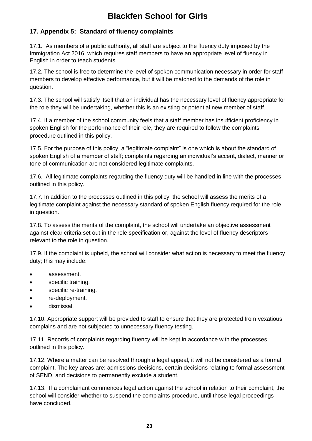### **17. Appendix 5: Standard of fluency complaints**

17.1. As members of a public authority, all staff are subject to the fluency duty imposed by the Immigration Act 2016, which requires staff members to have an appropriate level of fluency in English in order to teach students.

17.2. The school is free to determine the level of spoken communication necessary in order for staff members to develop effective performance, but it will be matched to the demands of the role in question.

17.3. The school will satisfy itself that an individual has the necessary level of fluency appropriate for the role they will be undertaking, whether this is an existing or potential new member of staff.

17.4. If a member of the school community feels that a staff member has insufficient proficiency in spoken English for the performance of their role, they are required to follow the complaints procedure outlined in this policy.

17.5. For the purpose of this policy, a "legitimate complaint" is one which is about the standard of spoken English of a member of staff; complaints regarding an individual's accent, dialect, manner or tone of communication are not considered legitimate complaints.

17.6. All legitimate complaints regarding the fluency duty will be handled in line with the processes outlined in this policy.

17.7. In addition to the processes outlined in this policy, the school will assess the merits of a legitimate complaint against the necessary standard of spoken English fluency required for the role in question.

17.8. To assess the merits of the complaint, the school will undertake an objective assessment against clear criteria set out in the role specification or, against the level of fluency descriptors relevant to the role in question.

17.9. If the complaint is upheld, the school will consider what action is necessary to meet the fluency duty; this may include:

- assessment.
- specific training.
- specific re-training.
- re-deployment.
- dismissal.

17.10. Appropriate support will be provided to staff to ensure that they are protected from vexatious complains and are not subjected to unnecessary fluency testing.

17.11. Records of complaints regarding fluency will be kept in accordance with the processes outlined in this policy.

17.12. Where a matter can be resolved through a legal appeal, it will not be considered as a formal complaint. The key areas are: admissions decisions, certain decisions relating to formal assessment of SEND, and decisions to permanently exclude a student.

17.13. If a complainant commences legal action against the school in relation to their complaint, the school will consider whether to suspend the complaints procedure, until those legal proceedings have concluded.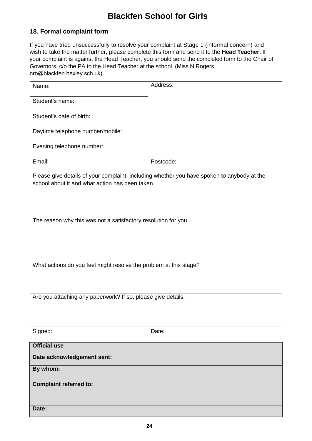### **18. Formal complaint form**

If you have tried unsuccessfully to resolve your complaint at Stage 1 (informal concern) and wish to take the matter further, please complete this form and send it to the **Head Teacher.** If your complaint is against the Head Teacher, you should send the completed form to the Chair of Governors, c/o the PA to the Head Teacher at the school. (Miss N Rogers, nro@blackfen.bexley.sch.uk).

| Name:                                                                                                                                         | Address:  |  |  |  |
|-----------------------------------------------------------------------------------------------------------------------------------------------|-----------|--|--|--|
| Student's name:                                                                                                                               |           |  |  |  |
| Student's date of birth:                                                                                                                      |           |  |  |  |
| Daytime telephone number/mobile:                                                                                                              |           |  |  |  |
| Evening telephone number:                                                                                                                     |           |  |  |  |
| Email:                                                                                                                                        | Postcode: |  |  |  |
| Please give details of your complaint, including whether you have spoken to anybody at the<br>school about it and what action has been taken. |           |  |  |  |
| The reason why this was not a satisfactory resolution for you.                                                                                |           |  |  |  |
|                                                                                                                                               |           |  |  |  |
|                                                                                                                                               |           |  |  |  |
| What actions do you feel might resolve the problem at this stage?                                                                             |           |  |  |  |
| Are you attaching any paperwork? If so, please give details.                                                                                  |           |  |  |  |
|                                                                                                                                               |           |  |  |  |
| Signed:                                                                                                                                       | Date:     |  |  |  |
| <b>Official use</b>                                                                                                                           |           |  |  |  |
| Date acknowledgement sent:                                                                                                                    |           |  |  |  |
| By whom:                                                                                                                                      |           |  |  |  |
| <b>Complaint referred to:</b>                                                                                                                 |           |  |  |  |
| Date:                                                                                                                                         |           |  |  |  |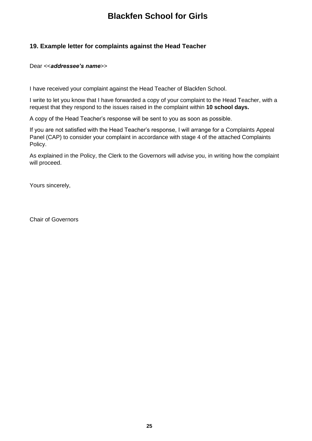### **19. Example letter for complaints against the Head Teacher**

#### Dear <<*addressee's name*>>

I have received your complaint against the Head Teacher of Blackfen School.

I write to let you know that I have forwarded a copy of your complaint to the Head Teacher, with a request that they respond to the issues raised in the complaint within **10 school days.**

A copy of the Head Teacher's response will be sent to you as soon as possible.

If you are not satisfied with the Head Teacher's response, I will arrange for a Complaints Appeal Panel (CAP) to consider your complaint in accordance with stage 4 of the attached Complaints Policy.

As explained in the Policy, the Clerk to the Governors will advise you, in writing how the complaint will proceed.

Yours sincerely,

Chair of Governors